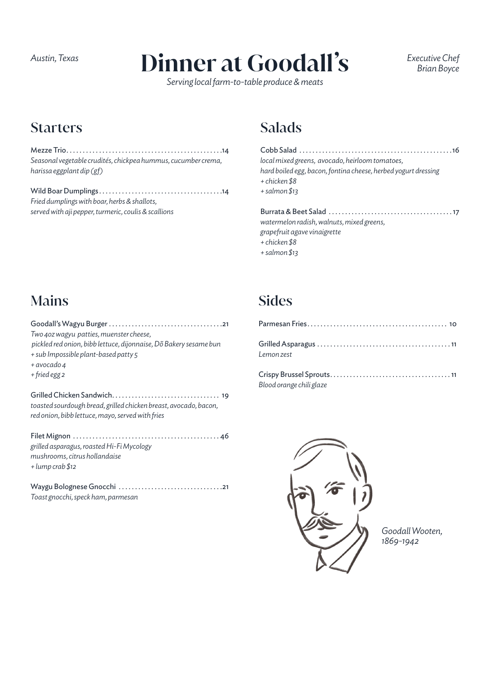# *Austin, Texas Executive Chef* **Dinner at Goodall's**

*Serving local farm-to-table produce & meats*

*Brian Boyce*

#### **Starters**

Mezze Trio . . . . . . . . . . . . . . . . . . . . . . . . . . . . . . . . . . . . . . . . . . . . . . . 14 *Seasonal vegetable crudités, chickpea hummus, cucumber crema, harissa eggplant dip (gf)*

Wild Boar Dumplings . . . . . . . . . . . . . . . . . . . . . . . . . . . . . . . . . . . . . 14 *Fried dumplings with boar, herbs & shallots, served with aji pepper, turmeric, coulis & scallions*

### Salads

| local mixed greens, avocado, heirloom tomatoes,                |
|----------------------------------------------------------------|
| hard boiled egg, bacon, fontina cheese, herbed yogurt dressing |
| + chicken \$8                                                  |
| + salmon \$13                                                  |
|                                                                |
|                                                                |
| watermelon radish, walnuts, mixed greens,                      |

*grapefruit agave vinaigrette*

- *+ chicken \$8*
- *+ salmon \$13*

### Mains

| Two 40z wagyu patties, muenster cheese,<br>pickled red onion, bibb lettuce, dijonnaise, Dõ Bakery sesame bun<br>+ sub Impossible plant-based patty 5<br>+ avocado 4 |
|---------------------------------------------------------------------------------------------------------------------------------------------------------------------|
| + fried egg 2                                                                                                                                                       |
| toasted sourdough bread, grilled chicken breast, avocado, bacon,<br>red onion, bibb lettuce, mayo, served with fries                                                |
| grilled asparagus, roasted Hi-Fi Mycology<br>mushrooms, citrus hollandaise<br>$+$ lump crab \$12                                                                    |
| Toast gnocchi, speck ham, parmesan                                                                                                                                  |

## Sides

| Lemon zest             |  |
|------------------------|--|
| $Cbin Dmodel Cbin + c$ |  |

Crispy Brussel Sprouts . . . . . . . . . . . . . . . . . . . . . . . . . . . . . . . . . . . . 11 *Blood orange chili glaze*



*Goodall Wooten, 1869-1942*